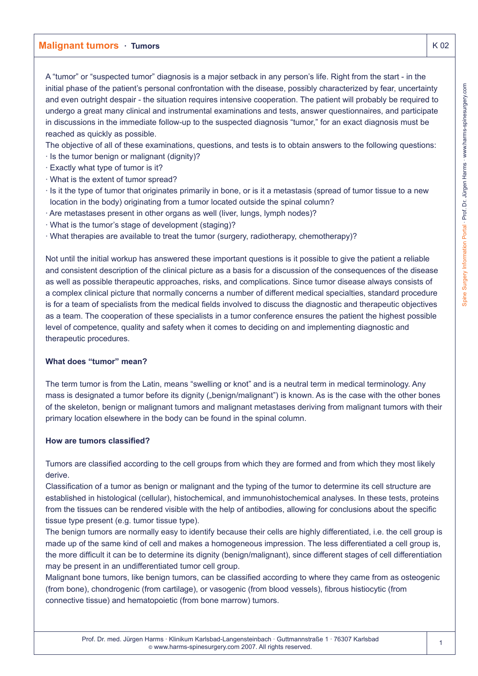A "tumor" or "suspected tumor" diagnosis is a major setback in any person's life. Right from the start - in the initial phase of the patient's personal confrontation with the disease, possibly characterized by fear, uncertainty and even outright despair - the situation requires intensive cooperation. The patient will probably be required to undergo a great many clinical and instrumental examinations and tests, answer questionnaires, and participate in discussions in the immediate follow-up to the suspected diagnosis "tumor," for an exact diagnosis must be reached as quickly as possible.

The objective of all of these examinations, questions, and tests is to obtain answers to the following questions:

- · Is the tumor benign or malignant (dignity)?
- · Exactly what type of tumor is it?
- · What is the extent of tumor spread?
- · Is it the type of tumor that originates primarily in bone, or is it a metastasis (spread of tumor tissue to a new location in the body) originating from a tumor located outside the spinal column?
- · Are metastases present in other organs as well (liver, lungs, lymph nodes)?
- · What is the tumor's stage of development (staging)?
- · What therapies are available to treat the tumor (surgery, radiotherapy, chemotherapy)?

Not until the initial workup has answered these important questions is it possible to give the patient a reliable and consistent description of the clinical picture as a basis for a discussion of the consequences of the disease as well as possible therapeutic approaches, risks, and complications. Since tumor disease always consists of a complex clinical picture that normally concerns a number of different medical specialties, standard procedure is for a team of specialists from the medical fields involved to discuss the diagnostic and therapeutic objectives as a team. The cooperation of these specialists in a tumor conference ensures the patient the highest possible level of competence, quality and safety when it comes to deciding on and implementing diagnostic and therapeutic procedures.

### **What does "tumor" mean?**

The term tumor is from the Latin, means "swelling or knot" and is a neutral term in medical terminology. Any mass is designated a tumor before its dignity ("benign/malignant") is known. As is the case with the other bones of the skeleton, benign or malignant tumors and malignant metastases deriving from malignant tumors with their primary location elsewhere in the body can be found in the spinal column.

### **How are tumors classified?**

Tumors are classified according to the cell groups from which they are formed and from which they most likely derive.

Classification of a tumor as benign or malignant and the typing of the tumor to determine its cell structure are established in histological (cellular), histochemical, and immunohistochemical analyses. In these tests, proteins from the tissues can be rendered visible with the help of antibodies, allowing for conclusions about the specific tissue type present (e.g. tumor tissue type).

The benign tumors are normally easy to identify because their cells are highly differentiated, i.e. the cell group is made up of the same kind of cell and makes a homogeneous impression. The less differentiated a cell group is, the more difficult it can be to determine its dignity (benign/malignant), since different stages of cell differentiation may be present in an undifferentiated tumor cell group.

Malignant bone tumors, like benign tumors, can be classified according to where they came from as osteogenic (from bone), chondrogenic (from cartilage), or vasogenic (from blood vessels), fibrous histiocytic (from connective tissue) and hematopoietic (from bone marrow) tumors.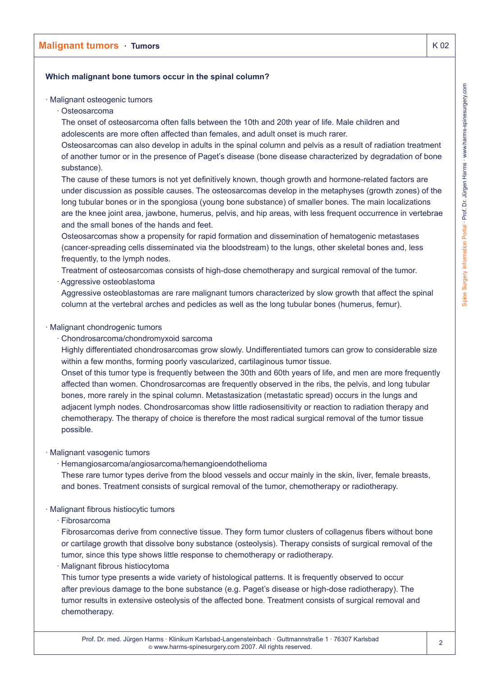# **Which malignant bone tumors occur in the spinal column?**

### · Malignant osteogenic tumors

· Osteosarcoma

The onset of osteosarcoma often falls between the 10th and 20th year of life. Male children and adolescents are more often affected than females, and adult onset is much rarer.

Osteosarcomas can also develop in adults in the spinal column and pelvis as a result of radiation treatment of another tumor or in the presence of Paget's disease (bone disease characterized by degradation of bone substance).

The cause of these tumors is not yet definitively known, though growth and hormone-related factors are under discussion as possible causes. The osteosarcomas develop in the metaphyses (growth zones) of the long tubular bones or in the spongiosa (young bone substance) of smaller bones. The main localizations are the knee joint area, jawbone, humerus, pelvis, and hip areas, with less frequent occurrence in vertebrae and the small bones of the hands and feet.

Osteosarcomas show a propensity for rapid formation and dissemination of hematogenic metastases (cancer-spreading cells disseminated via the bloodstream) to the lungs, other skeletal bones and, less frequently, to the lymph nodes.

Treatment of osteosarcomas consists of high-dose chemotherapy and surgical removal of the tumor. · Aggressive osteoblastoma

Aggressive osteoblastomas are rare malignant tumors characterized by slow growth that affect the spinal column at the vertebral arches and pedicles as well as the long tubular bones (humerus, femur).

### · Malignant chondrogenic tumors

· Chondrosarcoma/chondromyxoid sarcoma

Highly differentiated chondrosarcomas grow slowly. Undifferentiated tumors can grow to considerable size within a few months, forming poorly vascularized, cartilaginous tumor tissue.

Onset of this tumor type is frequently between the 30th and 60th years of life, and men are more frequently affected than women. Chondrosarcomas are frequently observed in the ribs, the pelvis, and long tubular bones, more rarely in the spinal column. Metastasization (metastatic spread) occurs in the lungs and adjacent lymph nodes. Chondrosarcomas show little radiosensitivity or reaction to radiation therapy and chemotherapy. The therapy of choice is therefore the most radical surgical removal of the tumor tissue possible.

## · Malignant vasogenic tumors

· Hemangiosarcoma/angiosarcoma/hemangioendothelioma

These rare tumor types derive from the blood vessels and occur mainly in the skin, liver, female breasts, and bones. Treatment consists of surgical removal of the tumor, chemotherapy or radiotherapy.

## · Malignant fibrous histiocytic tumors

· Fibrosarcoma

Fibrosarcomas derive from connective tissue. They form tumor clusters of collagenus fibers without bone or cartilage growth that dissolve bony substance (osteolysis). Therapy consists of surgical removal of the tumor, since this type shows little response to chemotherapy or radiotherapy.

· Malignant fibrous histiocytoma

This tumor type presents a wide variety of histological patterns. It is frequently observed to occur after previous damage to the bone substance (e.g. Paget's disease or high-dose radiotherapy). The tumor results in extensive osteolysis of the affected bone. Treatment consists of surgical removal and chemotherapy.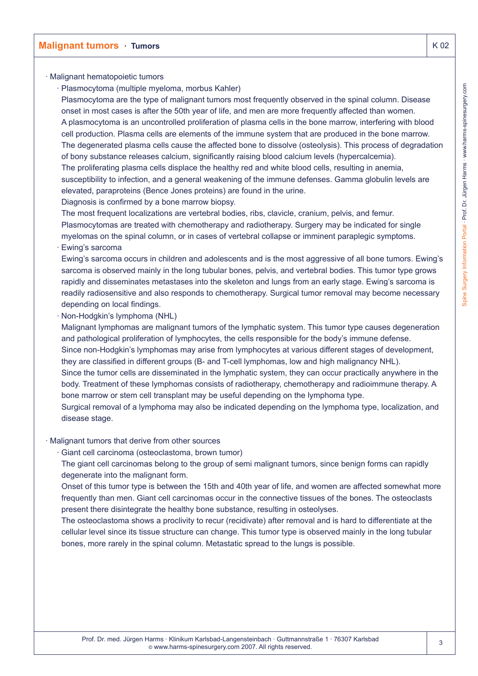## · Malignant hematopoietic tumors

- · Plasmocytoma (multiple myeloma, morbus Kahler)
- Plasmocytoma are the type of malignant tumors most frequently observed in the spinal column. Disease onset in most cases is after the 50th year of life, and men are more frequently affected than women. A plasmocytoma is an uncontrolled proliferation of plasma cells in the bone marrow, interfering with blood cell production. Plasma cells are elements of the immune system that are produced in the bone marrow. The degenerated plasma cells cause the affected bone to dissolve (osteolysis). This process of degradation of bony substance releases calcium, significantly raising blood calcium levels (hypercalcemia). The proliferating plasma cells displace the healthy red and white blood cells, resulting in anemia, susceptibility to infection, and a general weakening of the immune defenses. Gamma globulin levels are elevated, paraproteins (Bence Jones proteins) are found in the urine.
- Diagnosis is confirmed by a bone marrow biopsy.

The most frequent localizations are vertebral bodies, ribs, clavicle, cranium, pelvis, and femur. Plasmocytomas are treated with chemotherapy and radiotherapy. Surgery may be indicated for single myelomas on the spinal column, or in cases of vertebral collapse or imminent paraplegic symptoms.

· Ewing's sarcoma

Ewing's sarcoma occurs in children and adolescents and is the most aggressive of all bone tumors. Ewing's sarcoma is observed mainly in the long tubular bones, pelvis, and vertebral bodies. This tumor type grows rapidly and disseminates metastases into the skeleton and lungs from an early stage. Ewing's sarcoma is readily radiosensitive and also responds to chemotherapy. Surgical tumor removal may become necessary depending on local findings.

· Non-Hodgkin's lymphoma (NHL)

Malignant lymphomas are malignant tumors of the lymphatic system. This tumor type causes degeneration and pathological proliferation of lymphocytes, the cells responsible for the body's immune defense.

Since non-Hodgkin's lymphomas may arise from lymphocytes at various different stages of development, they are classified in different groups (B- and T-cell lymphomas, low and high malignancy NHL).

Since the tumor cells are disseminated in the lymphatic system, they can occur practically anywhere in the body. Treatment of these lymphomas consists of radiotherapy, chemotherapy and radioimmune therapy. A bone marrow or stem cell transplant may be useful depending on the lymphoma type.

Surgical removal of a lymphoma may also be indicated depending on the lymphoma type, localization, and disease stage.

### · Malignant tumors that derive from other sources

- · Giant cell carcinoma (osteoclastoma, brown tumor)
- The giant cell carcinomas belong to the group of semi malignant tumors, since benign forms can rapidly degenerate into the malignant form.

Onset of this tumor type is between the 15th and 40th year of life, and women are affected somewhat more frequently than men. Giant cell carcinomas occur in the connective tissues of the bones. The osteoclasts present there disintegrate the healthy bone substance, resulting in osteolyses.

The osteoclastoma shows a proclivity to recur (recidivate) after removal and is hard to differentiate at the cellular level since its tissue structure can change. This tumor type is observed mainly in the long tubular bones, more rarely in the spinal column. Metastatic spread to the lungs is possible.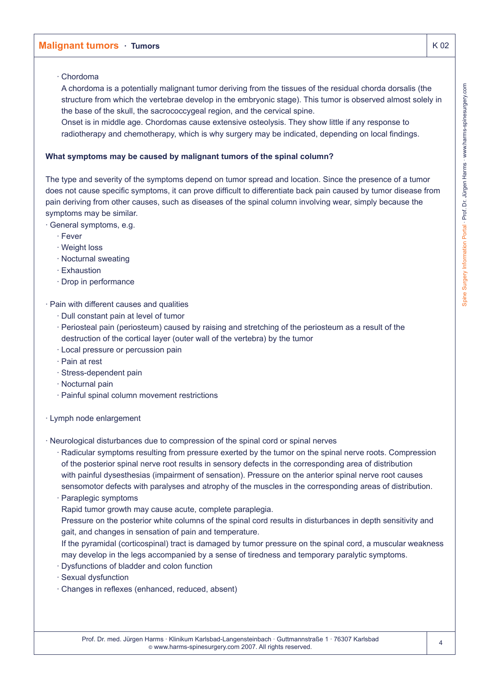### · Chordoma

A chordoma is a potentially malignant tumor deriving from the tissues of the residual chorda dorsalis (the structure from which the vertebrae develop in the embryonic stage). This tumor is observed almost solely in the base of the skull, the sacrococcygeal region, and the cervical spine.

Onset is in middle age. Chordomas cause extensive osteolysis. They show little if any response to radiotherapy and chemotherapy, which is why surgery may be indicated, depending on local findings.

### **What symptoms may be caused by malignant tumors of the spinal column?**

The type and severity of the symptoms depend on tumor spread and location. Since the presence of a tumor does not cause specific symptoms, it can prove difficult to differentiate back pain caused by tumor disease from pain deriving from other causes, such as diseases of the spinal column involving wear, simply because the symptoms may be similar.

### · General symptoms, e.g.

- · Fever
- · Weight loss
- · Nocturnal sweating
- · Exhaustion
- · Drop in performance

### · Pain with different causes and qualities

- · Dull constant pain at level of tumor
- · Periosteal pain (periosteum) caused by raising and stretching of the periosteum as a result of the destruction of the cortical layer (outer wall of the vertebra) by the tumor
- · Local pressure or percussion pain
- · Pain at rest
- · Stress-dependent pain
- · Nocturnal pain
- · Painful spinal column movement restrictions

### · Lymph node enlargement

- · Neurological disturbances due to compression of the spinal cord or spinal nerves
	- · Radicular symptoms resulting from pressure exerted by the tumor on the spinal nerve roots. Compression of the posterior spinal nerve root results in sensory defects in the corresponding area of distribution with painful dysesthesias (impairment of sensation). Pressure on the anterior spinal nerve root causes sensomotor defects with paralyses and atrophy of the muscles in the corresponding areas of distribution.
	- · Paraplegic symptoms
	- Rapid tumor growth may cause acute, complete paraplegia.
	- Pressure on the posterior white columns of the spinal cord results in disturbances in depth sensitivity and gait, and changes in sensation of pain and temperature.
	- If the pyramidal (corticospinal) tract is damaged by tumor pressure on the spinal cord, a muscular weakness may develop in the legs accompanied by a sense of tiredness and temporary paralytic symptoms.
	- · Dysfunctions of bladder and colon function
	- · Sexual dysfunction
	- · Changes in reflexes (enhanced, reduced, absent)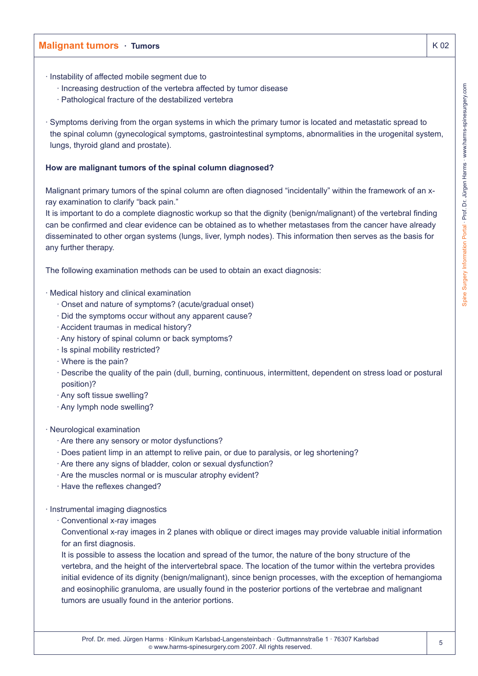- · Instability of affected mobile segment due to
	- · Increasing destruction of the vertebra affected by tumor disease
	- · Pathological fracture of the destabilized vertebra
- · Symptoms deriving from the organ systems in which the primary tumor is located and metastatic spread to the spinal column (gynecological symptoms, gastrointestinal symptoms, abnormalities in the urogenital system, lungs, thyroid gland and prostate).

### **How are malignant tumors of the spinal column diagnosed?**

Malignant primary tumors of the spinal column are often diagnosed "incidentally" within the framework of an xray examination to clarify "back pain."

It is important to do a complete diagnostic workup so that the dignity (benign/malignant) of the vertebral finding can be confirmed and clear evidence can be obtained as to whether metastases from the cancer have already disseminated to other organ systems (lungs, liver, lymph nodes). This information then serves as the basis for any further therapy.

The following examination methods can be used to obtain an exact diagnosis:

- · Medical history and clinical examination
	- · Onset and nature of symptoms? (acute/gradual onset)
	- · Did the symptoms occur without any apparent cause?
	- · Accident traumas in medical history?
	- · Any history of spinal column or back symptoms?
	- · Is spinal mobility restricted?
	- · Where is the pain?
	- · Describe the quality of the pain (dull, burning, continuous, intermittent, dependent on stress load or postural position)?
	- · Any soft tissue swelling?
	- · Any lymph node swelling?
- · Neurological examination
	- · Are there any sensory or motor dysfunctions?
	- · Does patient limp in an attempt to relive pain, or due to paralysis, or leg shortening?
	- · Are there any signs of bladder, colon or sexual dysfunction?
	- · Are the muscles normal or is muscular atrophy evident?
	- · Have the reflexes changed?
- · Instrumental imaging diagnostics
	- · Conventional x-ray images

Conventional x-ray images in 2 planes with oblique or direct images may provide valuable initial information for an first diagnosis.

It is possible to assess the location and spread of the tumor, the nature of the bony structure of the vertebra, and the height of the intervertebral space. The location of the tumor within the vertebra provides initial evidence of its dignity (benign/malignant), since benign processes, with the exception of hemangioma and eosinophilic granuloma, are usually found in the posterior portions of the vertebrae and malignant tumors are usually found in the anterior portions.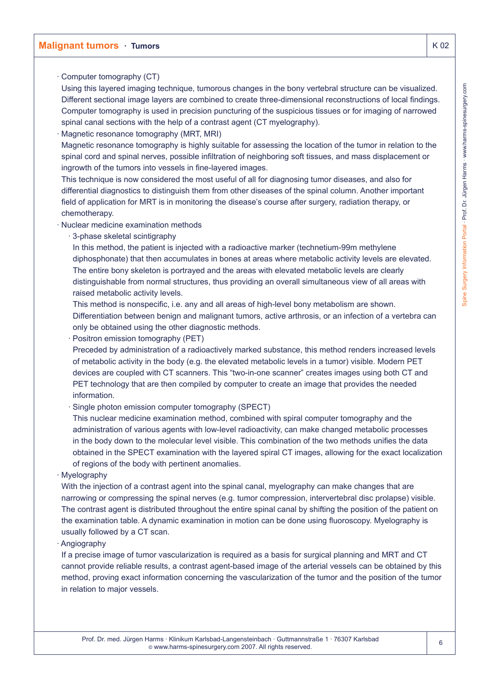# Spine Surgery Information Portal · Prof. Dr. Jürgen Harms · www.harms-spinesurgery.com Spine Surgery Information Portal · Prof. Dr. Jürgen Harms · www.harms-spinesurgery.com

# **Malignant tumors · Tumors K 02**

· Computer tomography (CT)

Using this layered imaging technique, tumorous changes in the bony vertebral structure can be visualized. Different sectional image layers are combined to create three-dimensional reconstructions of local findings. Computer tomography is used in precision puncturing of the suspicious tissues or for imaging of narrowed spinal canal sections with the help of a contrast agent (CT myelography).

Magnetic resonance tomography (MRT, MRI)

Magnetic resonance tomography is highly suitable for assessing the location of the tumor in relation to the spinal cord and spinal nerves, possible infiltration of neighboring soft tissues, and mass displacement or ingrowth of the tumors into vessels in fine-layered images.

This technique is now considered the most useful of all for diagnosing tumor diseases, and also for differential diagnostics to distinguish them from other diseases of the spinal column. Another important field of application for MRT is in monitoring the disease's course after surgery, radiation therapy, or chemotherapy.

· Nuclear medicine examination methods

· 3-phase skeletal scintigraphy

In this method, the patient is injected with a radioactive marker (technetium-99m methylene diphosphonate) that then accumulates in bones at areas where metabolic activity levels are elevated. The entire bony skeleton is portrayed and the areas with elevated metabolic levels are clearly distinguishable from normal structures, thus providing an overall simultaneous view of all areas with raised metabolic activity levels.

This method is nonspecific, i.e. any and all areas of high-level bony metabolism are shown. Differentiation between benign and malignant tumors, active arthrosis, or an infection of a vertebra can only be obtained using the other diagnostic methods.

· Positron emission tomography (PET)

Preceded by administration of a radioactively marked substance, this method renders increased levels of metabolic activity in the body (e.g. the elevated metabolic levels in a tumor) visible. Modern PET devices are coupled with CT scanners. This "two-in-one scanner" creates images using both CT and PET technology that are then compiled by computer to create an image that provides the needed information.

· Single photon emission computer tomography (SPECT)

This nuclear medicine examination method, combined with spiral computer tomography and the administration of various agents with low-level radioactivity, can make changed metabolic processes in the body down to the molecular level visible. This combination of the two methods unifies the data obtained in the SPECT examination with the layered spiral CT images, allowing for the exact localization of regions of the body with pertinent anomalies.

· Myelography

With the injection of a contrast agent into the spinal canal, myelography can make changes that are narrowing or compressing the spinal nerves (e.g. tumor compression, intervertebral disc prolapse) visible. The contrast agent is distributed throughout the entire spinal canal by shifting the position of the patient on the examination table. A dynamic examination in motion can be done using fluoroscopy. Myelography is usually followed by a CT scan.

· Angiography

If a precise image of tumor vascularization is required as a basis for surgical planning and MRT and CT cannot provide reliable results, a contrast agent-based image of the arterial vessels can be obtained by this method, proving exact information concerning the vascularization of the tumor and the position of the tumor in relation to major vessels.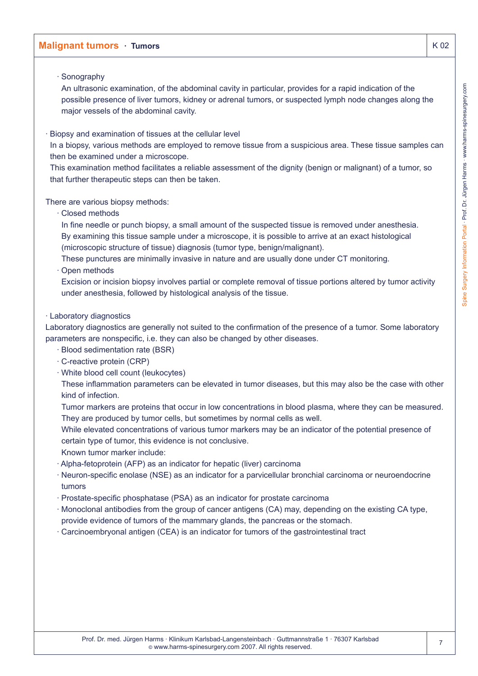# Spine Surgery Information Portal · Prof. Dr. Jürgen Harms · www.harms-spinesurgery.com Spine Surgery Information Portal · Prof. Dr. Jürgen Harms · www.harms-spinesurgery.com

# **Malignant tumors · Tumors K 02**

### · Sonography

An ultrasonic examination, of the abdominal cavity in particular, provides for a rapid indication of the possible presence of liver tumors, kidney or adrenal tumors, or suspected lymph node changes along the major vessels of the abdominal cavity.

Biopsy and examination of tissues at the cellular level

In a biopsy, various methods are employed to remove tissue from a suspicious area. These tissue samples can then be examined under a microscope.

This examination method facilitates a reliable assessment of the dignity (benign or malignant) of a tumor, so that further therapeutic steps can then be taken.

### There are various biopsy methods:

· Closed methods

In fine needle or punch biopsy, a small amount of the suspected tissue is removed under anesthesia. By examining this tissue sample under a microscope, it is possible to arrive at an exact histological (microscopic structure of tissue) diagnosis (tumor type, benign/malignant).

These punctures are minimally invasive in nature and are usually done under CT monitoring.

### · Open methods

Excision or incision biopsy involves partial or complete removal of tissue portions altered by tumor activity under anesthesia, followed by histological analysis of the tissue.

### · Laboratory diagnostics

Laboratory diagnostics are generally not suited to the confirmation of the presence of a tumor. Some laboratory parameters are nonspecific, i.e. they can also be changed by other diseases.

- · Blood sedimentation rate (BSR)
- · C-reactive protein (CRP)
- · White blood cell count (leukocytes)

These inflammation parameters can be elevated in tumor diseases, but this may also be the case with other kind of infection.

Tumor markers are proteins that occur in low concentrations in blood plasma, where they can be measured. They are produced by tumor cells, but sometimes by normal cells as well.

While elevated concentrations of various tumor markers may be an indicator of the potential presence of certain type of tumor, this evidence is not conclusive.

Known tumor marker include:

- · Alpha-fetoprotein (AFP) as an indicator for hepatic (liver) carcinoma
- · Neuron-specific enolase (NSE) as an indicator for a parvicellular bronchial carcinoma or neuroendocrine tumors
- · Prostate-specific phosphatase (PSA) as an indicator for prostate carcinoma
- · Monoclonal antibodies from the group of cancer antigens (CA) may, depending on the existing CA type, provide evidence of tumors of the mammary glands, the pancreas or the stomach.
- · Carcinoembryonal antigen (CEA) is an indicator for tumors of the gastrointestinal tract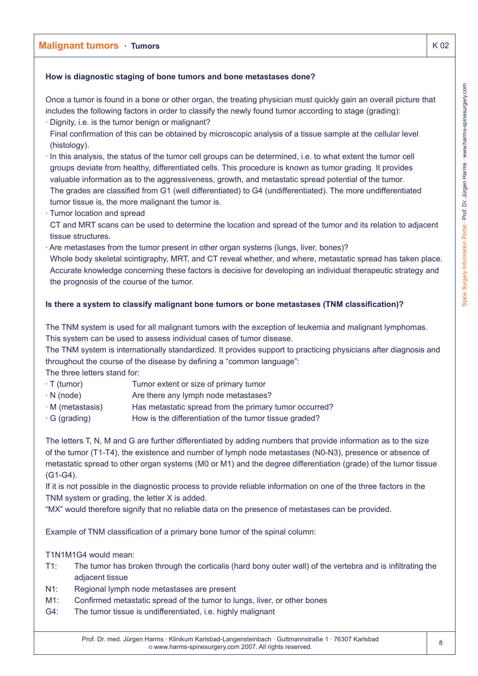# **How is diagnostic staging of bone tumors and bone metastases done?**

Once a tumor is found in a bone or other organ, the treating physician must quickly gain an overall picture that includes the following factors in order to classify the newly found tumor according to stage (grading):

- · Dignity, i.e. is the tumor benign or malignant?
- Final confirmation of this can be obtained by microscopic analysis of a tissue sample at the cellular level (histology).
- · In this analysis, the status of the tumor cell groups can be determined, i.e. to what extent the tumor cell groups deviate from healthy, differentiated cells. This procedure is known as tumor grading. It provides valuable information as to the aggressiveness, growth, and metastatic spread potential of the tumor. The grades are classified from G1 (well differentiated) to G4 (undifferentiated). The more undifferentiated tumor tissue is, the more malignant the tumor is.
- · Tumor location and spread
- CT and MRT scans can be used to determine the location and spread of the tumor and its relation to adjacent tissue structures.
- · Are metastases from the tumor present in other organ systems (lungs, liver, bones)? Whole body skeletal scintigraphy, MRT, and CT reveal whether, and where, metastatic spread has taken place. Accurate knowledge concerning these factors is decisive for developing an individual therapeutic strategy and the prognosis of the course of the tumor.

# **Is there a system to classify malignant bone tumors or bone metastases (TNM classification)?**

The TNM system is used for all malignant tumors with the exception of leukemia and malignant lymphomas. This system can be used to assess individual cases of tumor disease.

The TNM system is internationally standardized. It provides support to practicing physicians after diagnosis and throughout the course of the disease by defining a "common language":

The three letters stand for:

- · T (tumor) Tumor extent or size of primary tumor
- $\cdot$  N (node)  $\cdot$  Are there any lymph node metastases?
- · M (metastasis) Has metastatic spread from the primary tumor occurred?
- $\cdot$  G (grading) How is the differentiation of the tumor tissue graded?

The letters T, N, M and G are further differentiated by adding numbers that provide information as to the size of the tumor (T1-T4), the existence and number of lymph node metastases (N0-N3), presence or absence of metastatic spread to other organ systems (M0 or M1) and the degree differentiation (grade) of the tumor tissue (G1-G4).

If it is not possible in the diagnostic process to provide reliable information on one of the three factors in the TNM system or grading, the letter X is added.

"MX" would therefore signify that no reliable data on the presence of metastases can be provided.

Example of TNM classification of a primary bone tumor of the spinal column:

T1N1M1G4 would mean:

- T1: The tumor has broken through the corticalis (hard bony outer wall) of the vertebra and is infiltrating the adjacent tissue
- N1: Regional lymph node metastases are present
- M1: Confirmed metastatic spread of the tumor to lungs, liver, or other bones
- G4: The tumor tissue is undifferentiated, i.e. highly malignant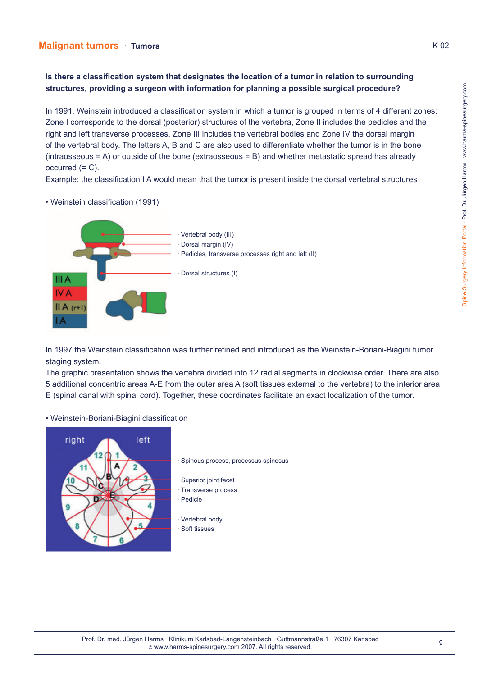**Is there a classification system that designates the location of a tumor in relation to surrounding structures, providing a surgeon with information for planning a possible surgical procedure?**

In 1991, Weinstein introduced a classification system in which a tumor is grouped in terms of 4 different zones: Zone I corresponds to the dorsal (posterior) structures of the vertebra, Zone II includes the pedicles and the right and left transverse processes, Zone III includes the vertebral bodies and Zone IV the dorsal margin of the vertebral body. The letters A, B and C are also used to differentiate whether the tumor is in the bone (intraosseous = A) or outside of the bone (extraosseous = B) and whether metastatic spread has already  $occurred (= C).$ 

Example: the classification I A would mean that the tumor is present inside the dorsal vertebral structures



• Weinstein classification (1991)

In 1997 the Weinstein classification was further refined and introduced as the Weinstein-Boriani-Biagini tumor staging system.

The graphic presentation shows the vertebra divided into 12 radial segments in clockwise order. There are also 5 additional concentric areas A-E from the outer area A (soft tissues external to the vertebra) to the interior area E (spinal canal with spinal cord). Together, these coordinates facilitate an exact localization of the tumor.

• Weinstein-Boriani-Biagini classification

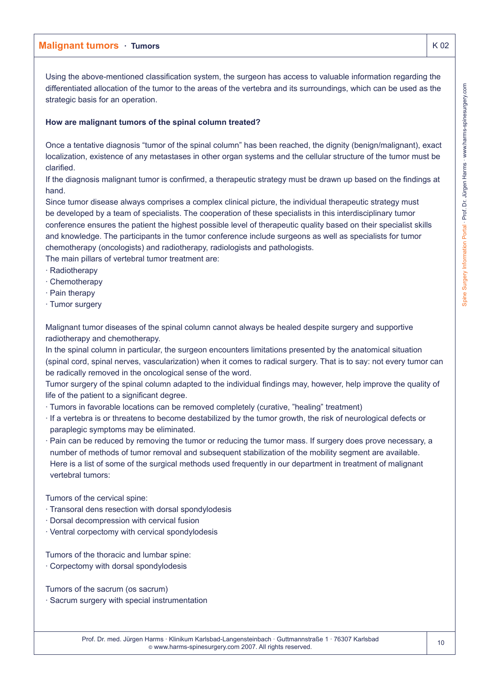Using the above-mentioned classification system, the surgeon has access to valuable information regarding the differentiated allocation of the tumor to the areas of the vertebra and its surroundings, which can be used as the strategic basis for an operation.

### **How are malignant tumors of the spinal column treated?**

Once a tentative diagnosis "tumor of the spinal column" has been reached, the dignity (benign/malignant), exact localization, existence of any metastases in other organ systems and the cellular structure of the tumor must be clarified.

If the diagnosis malignant tumor is confirmed, a therapeutic strategy must be drawn up based on the findings at hand.

Since tumor disease always comprises a complex clinical picture, the individual therapeutic strategy must be developed by a team of specialists. The cooperation of these specialists in this interdisciplinary tumor conference ensures the patient the highest possible level of therapeutic quality based on their specialist skills and knowledge. The participants in the tumor conference include surgeons as well as specialists for tumor chemotherapy (oncologists) and radiotherapy, radiologists and pathologists.

The main pillars of vertebral tumor treatment are:

- · Radiotherapy
- · Chemotherapy
- · Pain therapy
- · Tumor surgery

Malignant tumor diseases of the spinal column cannot always be healed despite surgery and supportive radiotherapy and chemotherapy.

In the spinal column in particular, the surgeon encounters limitations presented by the anatomical situation (spinal cord, spinal nerves, vascularization) when it comes to radical surgery. That is to say: not every tumor can be radically removed in the oncological sense of the word.

Tumor surgery of the spinal column adapted to the individual findings may, however, help improve the quality of life of the patient to a significant degree.

- · Tumors in favorable locations can be removed completely (curative, "healing" treatment)
- · If a vertebra is or threatens to become destabilized by the tumor growth, the risk of neurological defects or paraplegic symptoms may be eliminated.
- · Pain can be reduced by removing the tumor or reducing the tumor mass. If surgery does prove necessary, a number of methods of tumor removal and subsequent stabilization of the mobility segment are available. Here is a list of some of the surgical methods used frequently in our department in treatment of malignant vertebral tumors:

Tumors of the cervical spine:

- · Transoral dens resection with dorsal spondylodesis
- · Dorsal decompression with cervical fusion
- · Ventral corpectomy with cervical spondylodesis

Tumors of the thoracic and lumbar spine:

· Corpectomy with dorsal spondylodesis

Tumors of the sacrum (os sacrum)

· Sacrum surgery with special instrumentation